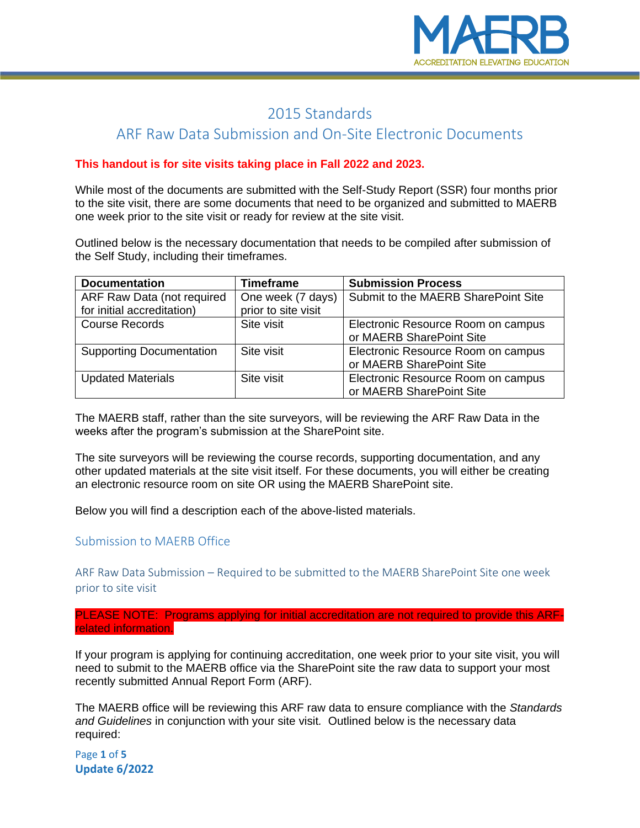

# 2015 Standards

## ARF Raw Data Submission and On-Site Electronic Documents

#### **This handout is for site visits taking place in Fall 2022 and 2023.**

While most of the documents are submitted with the Self-Study Report (SSR) four months prior to the site visit, there are some documents that need to be organized and submitted to MAERB one week prior to the site visit or ready for review at the site visit.

Outlined below is the necessary documentation that needs to be compiled after submission of the Self Study, including their timeframes.

| <b>Documentation</b>            | <b>Timeframe</b>    | <b>Submission Process</b>           |
|---------------------------------|---------------------|-------------------------------------|
| ARF Raw Data (not required      | One week (7 days)   | Submit to the MAERB SharePoint Site |
| for initial accreditation)      | prior to site visit |                                     |
| <b>Course Records</b>           | Site visit          | Electronic Resource Room on campus  |
|                                 |                     | or MAERB SharePoint Site            |
| <b>Supporting Documentation</b> | Site visit          | Electronic Resource Room on campus  |
|                                 |                     | or MAERB SharePoint Site            |
| <b>Updated Materials</b>        | Site visit          | Electronic Resource Room on campus  |
|                                 |                     | or MAERB SharePoint Site            |

The MAERB staff, rather than the site surveyors, will be reviewing the ARF Raw Data in the weeks after the program's submission at the SharePoint site.

The site surveyors will be reviewing the course records, supporting documentation, and any other updated materials at the site visit itself. For these documents, you will either be creating an electronic resource room on site OR using the MAERB SharePoint site.

Below you will find a description each of the above-listed materials.

#### Submission to MAERB Office

ARF Raw Data Submission – Required to be submitted to the MAERB SharePoint Site one week prior to site visit

PLEASE NOTE: Programs applying for initial accreditation are not required to provide this ARFrelated information.

If your program is applying for continuing accreditation, one week prior to your site visit, you will need to submit to the MAERB office via the SharePoint site the raw data to support your most recently submitted Annual Report Form (ARF).

The MAERB office will be reviewing this ARF raw data to ensure compliance with the *Standards and Guidelines* in conjunction with your site visit*.* Outlined below is the necessary data required:

Page **1** of **5 Update 6/2022**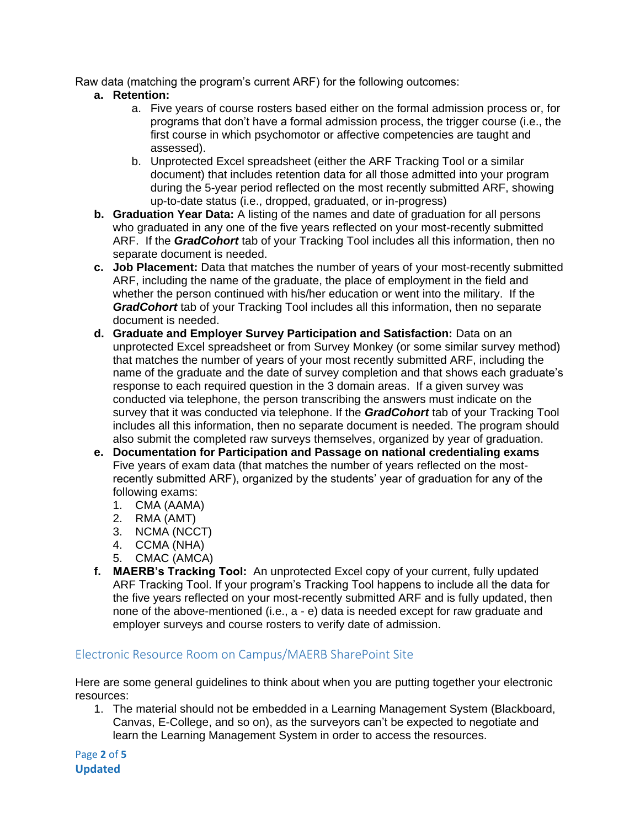Raw data (matching the program's current ARF) for the following outcomes:

- **a. Retention:** 
	- a. Five years of course rosters based either on the formal admission process or, for programs that don't have a formal admission process, the trigger course (i.e., the first course in which psychomotor or affective competencies are taught and assessed).
	- b. Unprotected Excel spreadsheet (either the ARF Tracking Tool or a similar document) that includes retention data for all those admitted into your program during the 5-year period reflected on the most recently submitted ARF, showing up-to-date status (i.e., dropped, graduated, or in-progress)
- **b. Graduation Year Data:** A listing of the names and date of graduation for all persons who graduated in any one of the five years reflected on your most-recently submitted ARF. If the *GradCohort* tab of your Tracking Tool includes all this information, then no separate document is needed.
- **c. Job Placement:** Data that matches the number of years of your most-recently submitted ARF, including the name of the graduate, the place of employment in the field and whether the person continued with his/her education or went into the military. If the *GradCohort* tab of your Tracking Tool includes all this information, then no separate document is needed.
- **d. Graduate and Employer Survey Participation and Satisfaction:** Data on an unprotected Excel spreadsheet or from Survey Monkey (or some similar survey method) that matches the number of years of your most recently submitted ARF, including the name of the graduate and the date of survey completion and that shows each graduate's response to each required question in the 3 domain areas. If a given survey was conducted via telephone, the person transcribing the answers must indicate on the survey that it was conducted via telephone. If the *GradCohort* tab of your Tracking Tool includes all this information, then no separate document is needed. The program should also submit the completed raw surveys themselves, organized by year of graduation.
- **e. Documentation for Participation and Passage on national credentialing exams** Five years of exam data (that matches the number of years reflected on the mostrecently submitted ARF), organized by the students' year of graduation for any of the following exams:
	- 1. CMA (AAMA)
	- 2. RMA (AMT)
	- 3. NCMA (NCCT)
	- 4. CCMA (NHA)
	- 5. CMAC (AMCA)
- **f. MAERB's Tracking Tool:** An unprotected Excel copy of your current, fully updated ARF Tracking Tool. If your program's Tracking Tool happens to include all the data for the five years reflected on your most-recently submitted ARF and is fully updated, then none of the above-mentioned (i.e., a - e) data is needed except for raw graduate and employer surveys and course rosters to verify date of admission.

### Electronic Resource Room on Campus/MAERB SharePoint Site

Here are some general guidelines to think about when you are putting together your electronic resources:

1. The material should not be embedded in a Learning Management System (Blackboard, Canvas, E-College, and so on), as the surveyors can't be expected to negotiate and learn the Learning Management System in order to access the resources.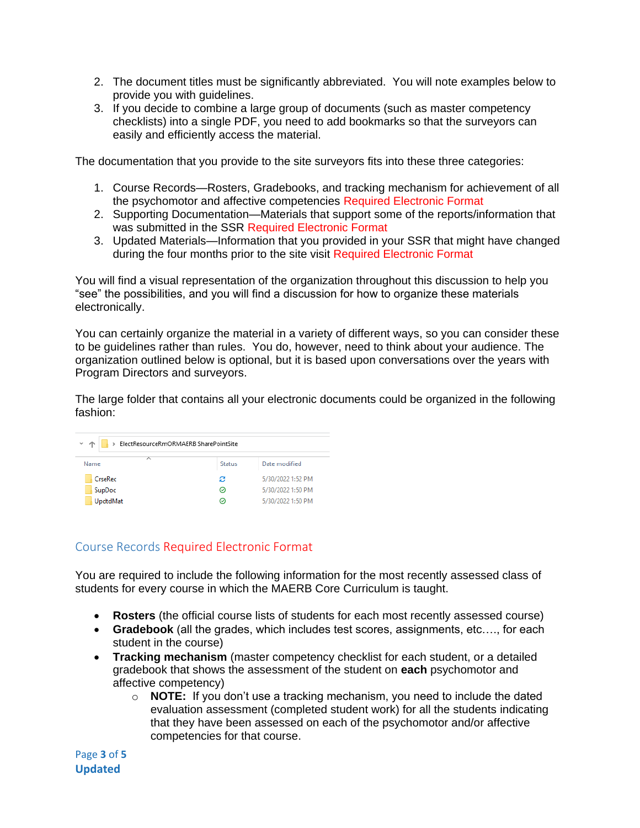- 2. The document titles must be significantly abbreviated. You will note examples below to provide you with guidelines.
- 3. If you decide to combine a large group of documents (such as master competency checklists) into a single PDF, you need to add bookmarks so that the surveyors can easily and efficiently access the material.

The documentation that you provide to the site surveyors fits into these three categories:

- 1. Course Records—Rosters, Gradebooks, and tracking mechanism for achievement of all the psychomotor and affective competencies Required Electronic Format
- 2. Supporting Documentation—Materials that support some of the reports/information that was submitted in the SSR Required Electronic Format
- 3. Updated Materials—Information that you provided in your SSR that might have changed during the four months prior to the site visit Required Electronic Format

You will find a visual representation of the organization throughout this discussion to help you "see" the possibilities, and you will find a discussion for how to organize these materials electronically.

You can certainly organize the material in a variety of different ways, so you can consider these to be guidelines rather than rules. You do, however, need to think about your audience. The organization outlined below is optional, but it is based upon conversations over the years with Program Directors and surveyors.

The large folder that contains all your electronic documents could be organized in the following fashion:

| > ElectResourceRmORMAERB SharePointSite<br>ッ 个 |               |                   |  |  |
|------------------------------------------------|---------------|-------------------|--|--|
| ∧<br>Name                                      | <b>Status</b> | Date modified     |  |  |
| CrseRec                                        | з             | 5/30/2022 1:52 PM |  |  |
| SupDoc                                         | ⊝             | 5/30/2022 1:50 PM |  |  |
| UpdtdMat                                       | ∞             | 5/30/2022 1:50 PM |  |  |

### Course Records Required Electronic Format

You are required to include the following information for the most recently assessed class of students for every course in which the MAERB Core Curriculum is taught.

- **Rosters** (the official course lists of students for each most recently assessed course)
- **Gradebook** (all the grades, which includes test scores, assignments, etc…., for each student in the course)
- **Tracking mechanism** (master competency checklist for each student, or a detailed gradebook that shows the assessment of the student on **each** psychomotor and affective competency)
	- o **NOTE:** If you don't use a tracking mechanism, you need to include the dated evaluation assessment (completed student work) for all the students indicating that they have been assessed on each of the psychomotor and/or affective competencies for that course.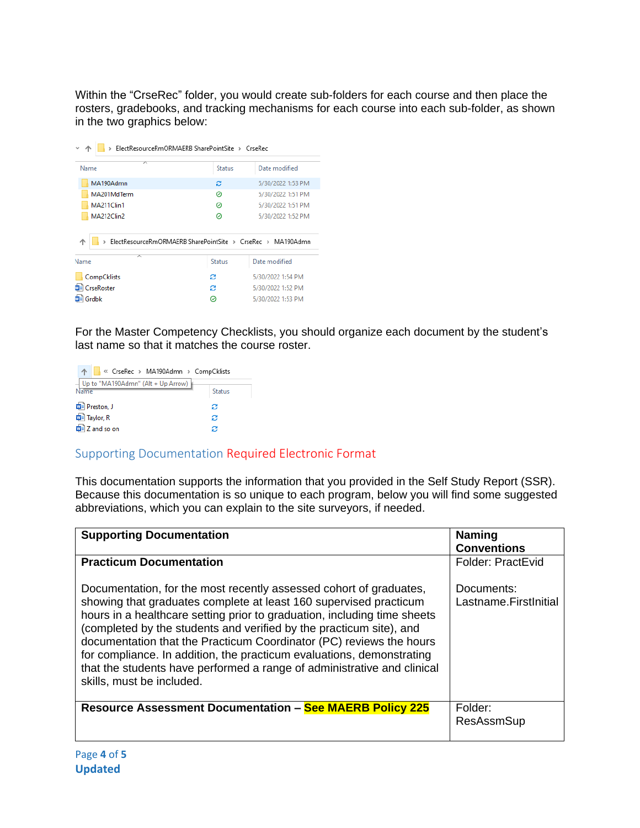Within the "CrseRec" folder, you would create sub-folders for each course and then place the rosters, gradebooks, and tracking mechanisms for each course into each sub-folder, as shown in the two graphics below:

| ElectResourceRmORMAERB SharePointSite > CrseRec             |               |                   |  |  |  |
|-------------------------------------------------------------|---------------|-------------------|--|--|--|
| ᄌ<br>Name                                                   | <b>Status</b> | Date modified     |  |  |  |
| MA190Admn                                                   | е             | 5/30/2022 1:53 PM |  |  |  |
| MA201MdTerm                                                 | ⊘             | 5/30/2022 1:51 PM |  |  |  |
| MA211Clin1                                                  | ⊘             | 5/30/2022 1:51 PM |  |  |  |
| MA212Clin2                                                  | ⊚             | 5/30/2022 1:52 PM |  |  |  |
| ElectResourceRmORMAERB SharePointSite > CrseRec > MA190Admn |               |                   |  |  |  |
| ᄉ<br>Name                                                   | <b>Status</b> | Date modified     |  |  |  |
| CompCklists                                                 | з             | 5/30/2022 1:54 PM |  |  |  |
| CrseRoster                                                  | e             | 5/30/2022 1:52 PM |  |  |  |
| Grdbk                                                       | ☉             | 5/30/2022 1:53 PM |  |  |  |

For the Master Competency Checklists, you should organize each document by the student's last name so that it matches the course roster.

| « CrseRec > MA190Admn > CompCklists            |               |
|------------------------------------------------|---------------|
| $-$ Up to "MA190Admn" (Alt + Up Arrow)<br>Name | <b>Status</b> |
| 中 Preston, J                                   | е             |
| <b>DE Taylor, R</b>                            | е             |
| $\frac{1}{2}$ Z and so on                      | е             |

### Supporting Documentation Required Electronic Format

This documentation supports the information that you provided in the Self Study Report (SSR). Because this documentation is so unique to each program, below you will find some suggested abbreviations, which you can explain to the site surveyors, if needed.

| <b>Supporting Documentation</b>                                                                                                                                                                                                                                                                                                                                                                                                                                                                                                                    | <b>Naming</b><br><b>Conventions</b> |
|----------------------------------------------------------------------------------------------------------------------------------------------------------------------------------------------------------------------------------------------------------------------------------------------------------------------------------------------------------------------------------------------------------------------------------------------------------------------------------------------------------------------------------------------------|-------------------------------------|
| <b>Practicum Documentation</b>                                                                                                                                                                                                                                                                                                                                                                                                                                                                                                                     | Folder: PractEvid                   |
| Documentation, for the most recently assessed cohort of graduates,<br>showing that graduates complete at least 160 supervised practicum<br>hours in a healthcare setting prior to graduation, including time sheets<br>(completed by the students and verified by the practicum site), and<br>documentation that the Practicum Coordinator (PC) reviews the hours<br>for compliance. In addition, the practicum evaluations, demonstrating<br>that the students have performed a range of administrative and clinical<br>skills, must be included. | Documents:<br>Lastname.FirstInitial |
| <b>Resource Assessment Documentation - See MAERB Policy 225</b>                                                                                                                                                                                                                                                                                                                                                                                                                                                                                    | Folder:<br><b>ResAssmSup</b>        |